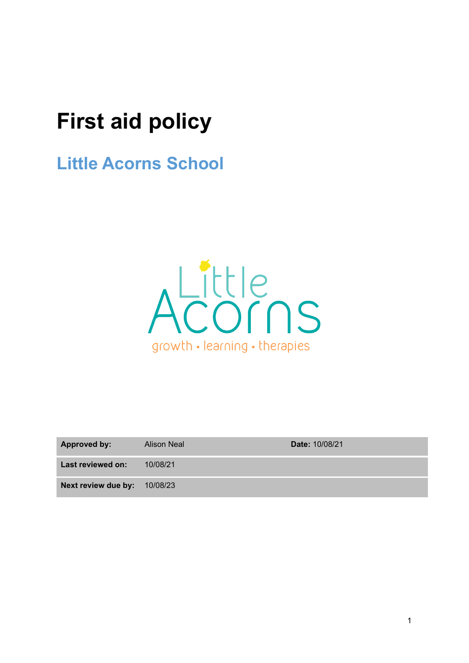# **First aid policy**

**Little Acorns School**



| <b>Approved by:</b>          | <b>Alison Neal</b> | <b>Date: 10/08/21</b> |
|------------------------------|--------------------|-----------------------|
| Last reviewed on:            | 10/08/21           |                       |
| Next review due by: 10/08/23 |                    |                       |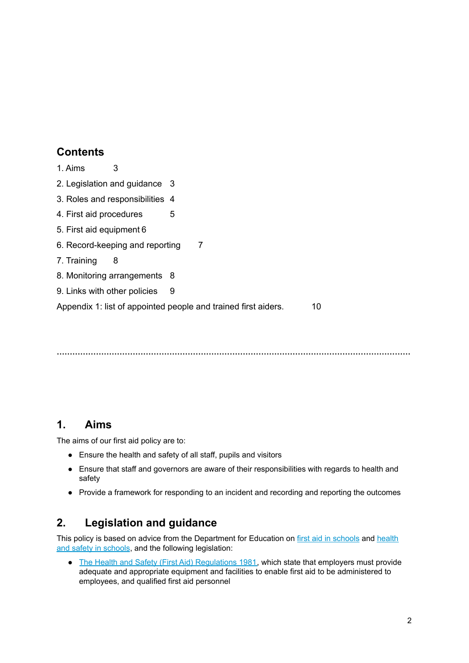# **Contents**

- 1. Aims [3](#page-1-0)
- 2. Legislation and guidance [3](#page-1-1)
- 3. Roles and responsibilities [4](#page-2-0)
- 4. First aid procedures [5](#page-3-0)
- 5. First aid equipment [6](#page-3-1)
- 6. Record-keeping and reporting [7](#page-4-0)
- 7. Training [8](#page-5-0)
- 8. Monitoring arrangements [8](#page-5-1)
- [9](#page-5-2). Links with other policies 9

Appendix 1: list of appointed people and trained first aiders.  $10$ 

**………………………………………………………………………………………………………………………**

## <span id="page-1-0"></span>**1. Aims**

The aims of our first aid policy are to:

- Ensure the health and safety of all staff, pupils and visitors
- Ensure that staff and governors are aware of their responsibilities with regards to health and safety
- <span id="page-1-1"></span>● Provide a framework for responding to an incident and recording and reporting the outcomes

# **2. Legislation and guidance**

This policy is based on advice from the Department for Education on first aid in [schools](https://www.gov.uk/government/publications/first-aid-in-schools) and [health](https://www.gov.uk/government/publications/health-and-safety-advice-for-schools) and safety in [schools](https://www.gov.uk/government/publications/health-and-safety-advice-for-schools), and the following legislation:

• The Health and Safety (First Aid) [Regulations](http://www.legislation.gov.uk/uksi/1981/917/regulation/3/made) 1981, which state that employers must provide adequate and appropriate equipment and facilities to enable first aid to be administered to employees, and qualified first aid personnel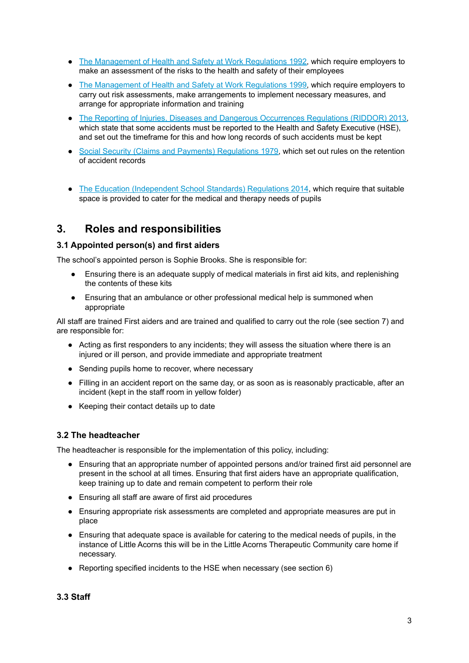- The [Management](http://www.legislation.gov.uk/uksi/1992/2051/regulation/3/made) of Health and Safety at Work Regulations 1992, which require employers to make an assessment of the risks to the health and safety of their employees
- The [Management](http://www.legislation.gov.uk/uksi/1999/3242/contents/made) of Health and Safety at Work Regulations 1999, which require employers to carry out risk assessments, make arrangements to implement necessary measures, and arrange for appropriate information and training
- The Reporting of Injuries, Diseases and Dangerous [Occurrences](http://www.legislation.gov.uk/uksi/2013/1471/schedule/1/paragraph/1/made) Regulations (RIDDOR) 2013, which state that some accidents must be reported to the Health and Safety Executive (HSE), and set out the timeframe for this and how long records of such accidents must be kept
- Social Security (Claims and Payments) [Regulations](http://www.legislation.gov.uk/uksi/1979/628) 1979, which set out rules on the retention of accident records
- <span id="page-2-0"></span>● The Education [\(Independent](http://www.legislation.gov.uk/uksi/2014/3283/schedule/made) School Standards) Regulations 2014, which require that suitable space is provided to cater for the medical and therapy needs of pupils

## **3. Roles and responsibilities**

#### **3.1 Appointed person(s) and first aiders**

The school's appointed person is Sophie Brooks. She is responsible for:

- Ensuring there is an adequate supply of medical materials in first aid kits, and replenishing the contents of these kits
- Ensuring that an ambulance or other professional medical help is summoned when appropriate

All staff are trained First aiders and are trained and qualified to carry out the role (see section 7) and are responsible for:

- Acting as first responders to any incidents; they will assess the situation where there is an injured or ill person, and provide immediate and appropriate treatment
- Sending pupils home to recover, where necessary
- Filling in an accident report on the same day, or as soon as is reasonably practicable, after an incident (kept in the staff room in yellow folder)
- Keeping their contact details up to date

#### **3.2 The headteacher**

The headteacher is responsible for the implementation of this policy, including:

- Ensuring that an appropriate number of appointed persons and/or trained first aid personnel are present in the school at all times. Ensuring that first aiders have an appropriate qualification, keep training up to date and remain competent to perform their role
- Ensuring all staff are aware of first aid procedures
- Ensuring appropriate risk assessments are completed and appropriate measures are put in place
- Ensuring that adequate space is available for catering to the medical needs of pupils, in the instance of Little Acorns this will be in the Little Acorns Therapeutic Community care home if necessary.
- Reporting specified incidents to the HSE when necessary (see section 6)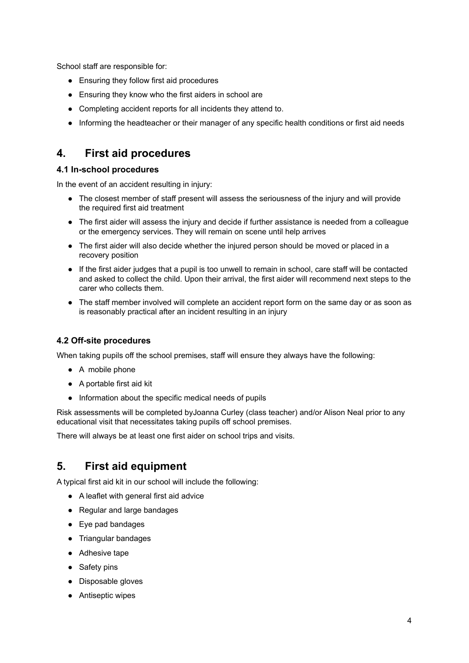School staff are responsible for:

- Ensuring they follow first aid procedures
- Ensuring they know who the first aiders in school are
- Completing accident reports for all incidents they attend to.
- <span id="page-3-0"></span>● Informing the headteacher or their manager of any specific health conditions or first aid needs

# **4. First aid procedures**

#### **4.1 In-school procedures**

In the event of an accident resulting in injury:

- The closest member of staff present will assess the seriousness of the injury and will provide the required first aid treatment
- The first aider will assess the injury and decide if further assistance is needed from a colleague or the emergency services. They will remain on scene until help arrives
- The first aider will also decide whether the injured person should be moved or placed in a recovery position
- If the first aider judges that a pupil is too unwell to remain in school, care staff will be contacted and asked to collect the child. Upon their arrival, the first aider will recommend next steps to the carer who collects them.
- The staff member involved will complete an accident report form on the same day or as soon as is reasonably practical after an incident resulting in an injury

#### **4.2 Off-site procedures**

When taking pupils off the school premises, staff will ensure they always have the following:

- A mobile phone
- A portable first aid kit
- Information about the specific medical needs of pupils

Risk assessments will be completed byJoanna Curley (class teacher) and/or Alison Neal prior to any educational visit that necessitates taking pupils off school premises.

<span id="page-3-1"></span>There will always be at least one first aider on school trips and visits.

# **5. First aid equipment**

A typical first aid kit in our school will include the following:

- A leaflet with general first aid advice
- Regular and large bandages
- Eye pad bandages
- Triangular bandages
- Adhesive tape
- Safety pins
- Disposable gloves
- Antiseptic wipes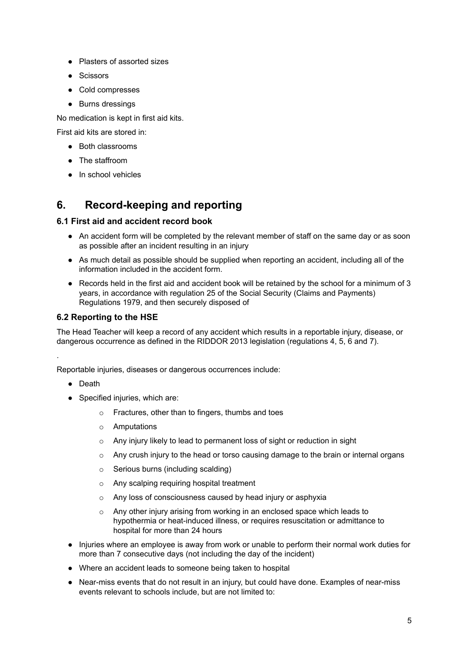- Plasters of assorted sizes
- Scissors
- Cold compresses
- Burns dressings

No medication is kept in first aid kits.

First aid kits are stored in:

- Both classrooms
- The staffroom
- <span id="page-4-0"></span>● In school vehicles

# **6. Record-keeping and reporting**

#### **6.1 First aid and accident record book**

- An accident form will be completed by the relevant member of staff on the same day or as soon as possible after an incident resulting in an injury
- As much detail as possible should be supplied when reporting an accident, including all of the information included in the accident form.
- Records held in the first aid and accident book will be retained by the school for a minimum of 3 years, in accordance with regulation 25 of the Social Security (Claims and Payments) Regulations 1979, and then securely disposed of

#### **6.2 Reporting to the HSE**

The Head Teacher will keep a record of any accident which results in a reportable injury, disease, or dangerous occurrence as defined in the RIDDOR 2013 legislation (regulations 4, 5, 6 and 7).

Reportable injuries, diseases or dangerous occurrences include:

● Death

.

- Specified injuries, which are:
	- o Fractures, other than to fingers, thumbs and toes
	- o Amputations
	- o Any injury likely to lead to permanent loss of sight or reduction in sight
	- $\circ$  Any crush injury to the head or torso causing damage to the brain or internal organs
	- o Serious burns (including scalding)
	- o Any scalping requiring hospital treatment
	- o Any loss of consciousness caused by head injury or asphyxia
	- o Any other injury arising from working in an enclosed space which leads to hypothermia or heat-induced illness, or requires resuscitation or admittance to hospital for more than 24 hours
- Injuries where an employee is away from work or unable to perform their normal work duties for more than 7 consecutive days (not including the day of the incident)
- Where an accident leads to someone being taken to hospital
- Near-miss events that do not result in an injury, but could have done. Examples of near-miss events relevant to schools include, but are not limited to: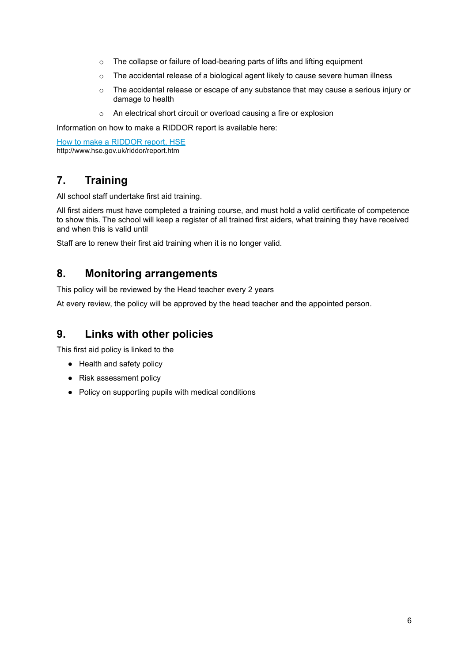- o The collapse or failure of load-bearing parts of lifts and lifting equipment
- o The accidental release of a biological agent likely to cause severe human illness
- o The accidental release or escape of any substance that may cause a serious injury or damage to health
- o An electrical short circuit or overload causing a fire or explosion

Information on how to make a RIDDOR report is available here:

<span id="page-5-0"></span>How to make a [RIDDOR](http://www.hse.gov.uk/riddor/report.htm) report, HSE http://www.hse.gov.uk/riddor/report.htm

## **7. Training**

All school staff undertake first aid training.

All first aiders must have completed a training course, and must hold a valid certificate of competence to show this. The school will keep a register of all trained first aiders, what training they have received and when this is valid until

<span id="page-5-1"></span>Staff are to renew their first aid training when it is no longer valid.

### **8. Monitoring arrangements**

This policy will be reviewed by the Head teacher every 2 years

<span id="page-5-2"></span>At every review, the policy will be approved by the head teacher and the appointed person.

## **9. Links with other policies**

This first aid policy is linked to the

- Health and safety policy
- Risk assessment policy
- Policy on supporting pupils with medical conditions